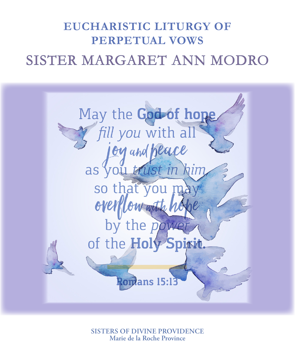# SISTER MARGARET ANN MODRO **EUCHARISTIC LITURGY OF PERPETUAL VOWS**



**SISTERS OF DIVINE PROVIDENCE Marie de la Roche Province**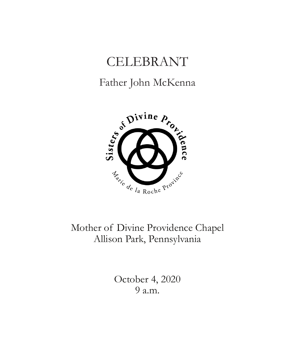# CELEBRANT

# Father John McKenna



Mother of Divine Providence Chapel Allison Park, Pennsylvania

> October 4, 2020 9 a.m.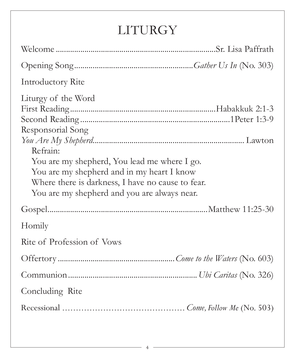# LITURGY

| Introductory Rite                                                                                                                                                                                                                                       |
|---------------------------------------------------------------------------------------------------------------------------------------------------------------------------------------------------------------------------------------------------------|
| Liturgy of the Word<br>Responsorial Song<br>Refrain:<br>You are my shepherd, You lead me where I go.<br>You are my shepherd and in my heart I know<br>Where there is darkness, I have no cause to fear.<br>You are my shepherd and you are always near. |
|                                                                                                                                                                                                                                                         |
| Homily                                                                                                                                                                                                                                                  |
| Rite of Profession of Vows                                                                                                                                                                                                                              |
|                                                                                                                                                                                                                                                         |
|                                                                                                                                                                                                                                                         |
| Concluding Rite                                                                                                                                                                                                                                         |
|                                                                                                                                                                                                                                                         |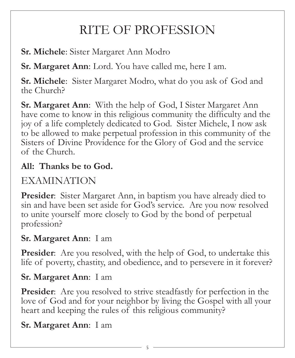# RITE OF PROFESSION

**Sr. Michele**: Sister Margaret Ann Modro

**Sr. Margaret Ann**: Lord. You have called me, here I am.

**Sr. Michele**: Sister Margaret Modro, what do you ask of God and the Church?

**Sr. Margaret Ann**: With the help of God, I Sister Margaret Ann have come to know in this religious community the difficulty and the joy of a life completely dedicated to God. Sister Michele, I now ask to be allowed to make perpetual profession in this community of the Sisters of Divine Providence for the Glory of God and the service of the Church.

## **All: Thanks be to God.**

# EXAMINATION

**Presider:** Sister Margaret Ann, in baptism you have already died to sin and have been set aside for God's service. Are you now resolved to unite yourself more closely to God by the bond of perpetual profession?

## **Sr. Margaret Ann**: I am

**Presider:** Are you resolved, with the help of God, to undertake this life of poverty, chastity, and obedience, and to persevere in it forever?

#### **Sr. Margaret Ann**: I am

**Presider:** Are you resolved to strive steadfastly for perfection in the love of God and for your neighbor by living the Gospel with all your heart and keeping the rules of this religious community?

#### **Sr. Margaret Ann**: I am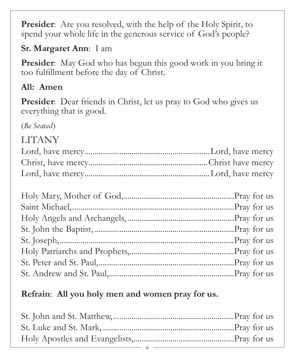**Presider:** Are you resolved, with the help of the Holy Spirit, to spend your whole life in the generous service of God's people?

### **Sr. Margaret Ann**: I am

**Presider:** May God who has begun this good work in you bring it too fulfillment before the day of Christ.

## **All: Amen**

**Presider**: Dear friends in Christ, let us pray to God who gives us everything that is good.

(*Be Seated*)

# LITANY

#### **Refrain**: **All you holy men and women pray for us.**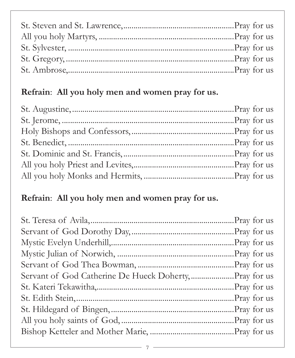# **Refrain**: **All you holy men and women pray for us.**

# **Refrain**: **All you holy men and women pray for us.**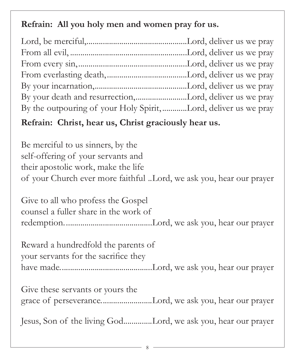#### **Refrain: All you holy men and women pray for us.**

| By the outpouring of your Holy Spirit,Lord, deliver us we pray |  |
|----------------------------------------------------------------|--|

#### **Refrain: Christ, hear us, Christ graciously hear us.**

Be merciful to us sinners, by the self-offering of your servants and their apostolic work, make the life of your Church ever more faithful ..Lord, we ask you, hear our prayer

Give to all who profess the Gospel counsel a fuller share in the work of redemption...........................................Lord, we ask you, hear our prayer

Reward a hundredfold the parents of your servants for the sacrifice they have made.............................................Lord, we ask you, hear our prayer

Give these servants or yours the grace of perseverance.........................Lord, we ask you, hear our prayer

Jesus, Son of the living God..............Lord, we ask you, hear our prayer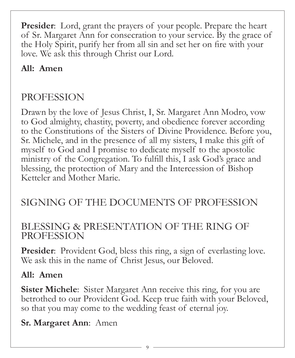**Presider**: Lord, grant the prayers of your people. Prepare the heart of Sr. Margaret Ann for consecration to your service. By the grace of the Holy Spirit, purify her from all sin and set her on fire with your love. We ask this through Christ our Lord.

## **All: Amen**

# PROFESSION

Drawn by the love of Jesus Christ, I, Sr. Margaret Ann Modro, vow to God almighty, chastity, poverty, and obedience forever according to the Constitutions of the Sisters of Divine Providence. Before you, Sr. Michele, and in the presence of all my sisters, I make this gift of myself to God and I promise to dedicate myself to the apostolic ministry of the Congregation. To fulfill this, I ask God's grace and blessing, the protection of Mary and the Intercession of Bishop Ketteler and Mother Marie.

# SIGNING OF THE DOCUMENTS OF PROFESSION

#### BLESSING & PRESENTATION OF THE RING OF PROFESSION

**Presider:** Provident God, bless this ring, a sign of everlasting love. We ask this in the name of Christ Jesus, our Beloved.

#### **All: Amen**

**Sister Michele**: Sister Margaret Ann receive this ring, for you are betrothed to our Provident God. Keep true faith with your Beloved, so that you may come to the wedding feast of eternal joy.

#### **Sr. Margaret Ann**: Amen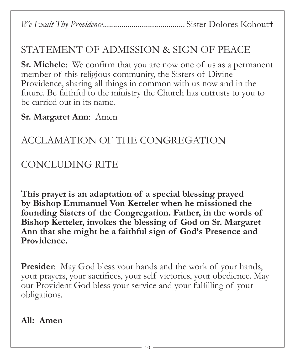*We Exalt Thy Providence*........................................ Sister Dolores Kohout

## STATEMENT OF ADMISSION & SIGN OF PEACE

**Sr. Michele**: We confirm that you are now one of us as a permanent member of this religious community, the Sisters of Divine Providence, sharing all things in common with us now and in the future. Be faithful to the ministry the Church has entrusts to you to be carried out in its name.

#### **Sr. Margaret Ann**: Amen

# ACCLAMATION OF THE CONGREGATION

# CONCLUDING RITE

**This prayer is an adaptation of a special blessing prayed by Bishop Emmanuel Von Ketteler when he missioned the founding Sisters of the Congregation. Father, in the words of Bishop Ketteler, invokes the blessing of God on Sr. Margaret Ann that she might be a faithful sign of God's Presence and Providence.**

**Presider:** May God bless your hands and the work of your hands, your prayers, your sacrifices, your self victories, your obedience. May our Provident God bless your service and your fulfilling of your obligations.

**All: Amen**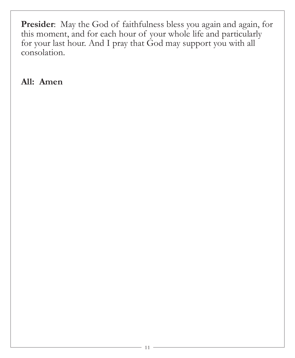**Presider**: May the God of faithfulness bless you again and again, for this moment, and for each hour of your whole life and particularly for your last hour. And I pray that God may support you with all consolation.

**All: Amen**